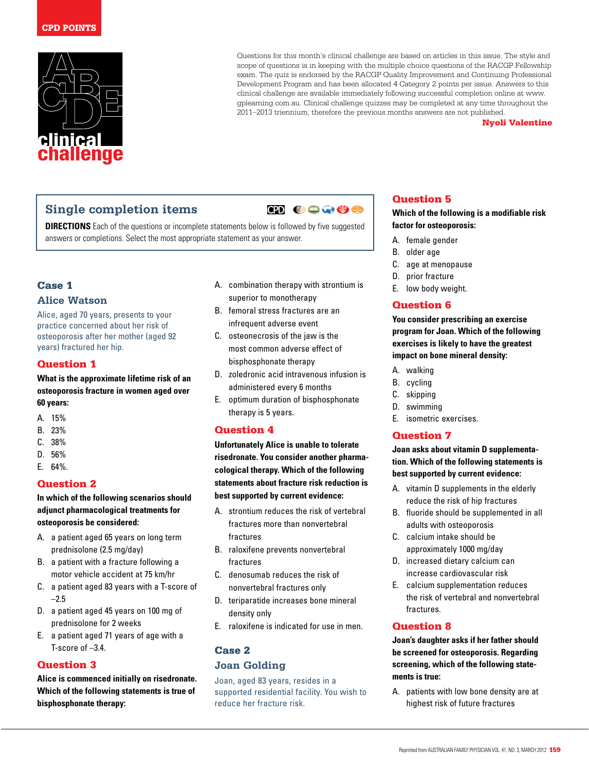

Questions for this month's clinical challenge are based on articles in this issue. The style and scope of questions is in keeping with the multiple choice questions of the RACGP Fellowship exam. The quiz is endorsed by the RACGP Quality Improvement and Continuing Professional Development Program and has been allocated 4 Category 2 points per issue. Answers to this clinical challenge are available immediately following successful completion online at www. gplearning.com.au. Clinical challenge quizzes may be completed at any time throughout the 2011–2013 triennium, therefore the previous months answers are not published.

Nyoli Valentine

# **Single completion items**

**ED 00000** 

**DIRECTIONS** Each of the questions or incomplete statements below is followed by five suggested answers or completions. Select the most appropriate statement as your answer.

## Case 1

### **Alice Watson**

Alice, aged 70 years, presents to your practice concerned about her risk of osteoporosis after her mother (aged 92 years) fractured her hip.

### Question 1

**What is the approximate lifetime risk of an osteoporosis fracture in women aged over 60 years:**

- A. 15%
- B. 23%
- C. 38%
- D. 56%
- E. 64%.

### Question 2

### **In which of the following scenarios should adjunct pharmacological treatments for osteoporosis be considered:**

- A. a patient aged 65 years on long term prednisolone (2.5 mg/day)
- B. a patient with a fracture following a motor vehicle accident at 75 km/hr
- C. a patient aged 83 years with a T-score of  $-2.5$
- D. a patient aged 45 years on 100 mg of prednisolone for 2 weeks
- E. a patient aged 71 years of age with a T-score of –3.4.

### Question 3

**Alice is commenced initially on risedronate. Which of the following statements is true of bisphosphonate therapy:**

- A. combination therapy with strontium is superior to monotherapy
- B. femoral stress fractures are an infrequent adverse event
- C. osteonecrosis of the jaw is the most common adverse effect of bisphosphonate therapy
- D. zoledronic acid intravenous infusion is administered every 6 months
- E. optimum duration of bisphosphonate therapy is 5 years.

### Question 4

**Unfortunately Alice is unable to tolerate risedronate. You consider another pharmacological therapy. Which of the following statements about fracture risk reduction is best supported by current evidence:**

- A. strontium reduces the risk of vertebral fractures more than nonvertebral fractures
- B. raloxifene prevents nonvertebral fractures
- C. denosumab reduces the risk of nonvertebral fractures only
- D. teriparatide increases bone mineral density only
- E. raloxifene is indicated for use in men.

### Case 2

### **Joan Golding**

Joan, aged 83 years, resides in a supported residential facility. You wish to reduce her fracture risk.

# Question 5

#### **Which of the following is a modifiable risk factor for osteoporosis:**

- A. female gender
- B. older age
- C. age at menopause
- D. prior fracture
- E. low body weight.

## Question 6

**You consider prescribing an exercise program for Joan. Which of the following exercises is likely to have the greatest impact on bone mineral density:**

- A. walking
- B. cycling
- C. skipping
- D. swimming
- E. isometric exercises.

### Question 7

**Joan asks about vitamin D supplementation. Which of the following statements is best supported by current evidence:**

- A. vitamin D supplements in the elderly reduce the risk of hip fractures
- B. fluoride should be supplemented in all adults with osteoporosis
- C. calcium intake should be approximately 1000 mg/day
- D. increased dietary calcium can increase cardiovascular risk
- E. calcium supplementation reduces the risk of vertebral and nonvertebral fractures.

### Question 8

**Joan's daughter asks if her father should be screened for osteoporosis. Regarding screening, which of the following statements is true:**

A. patients with low bone density are at highest risk of future fractures